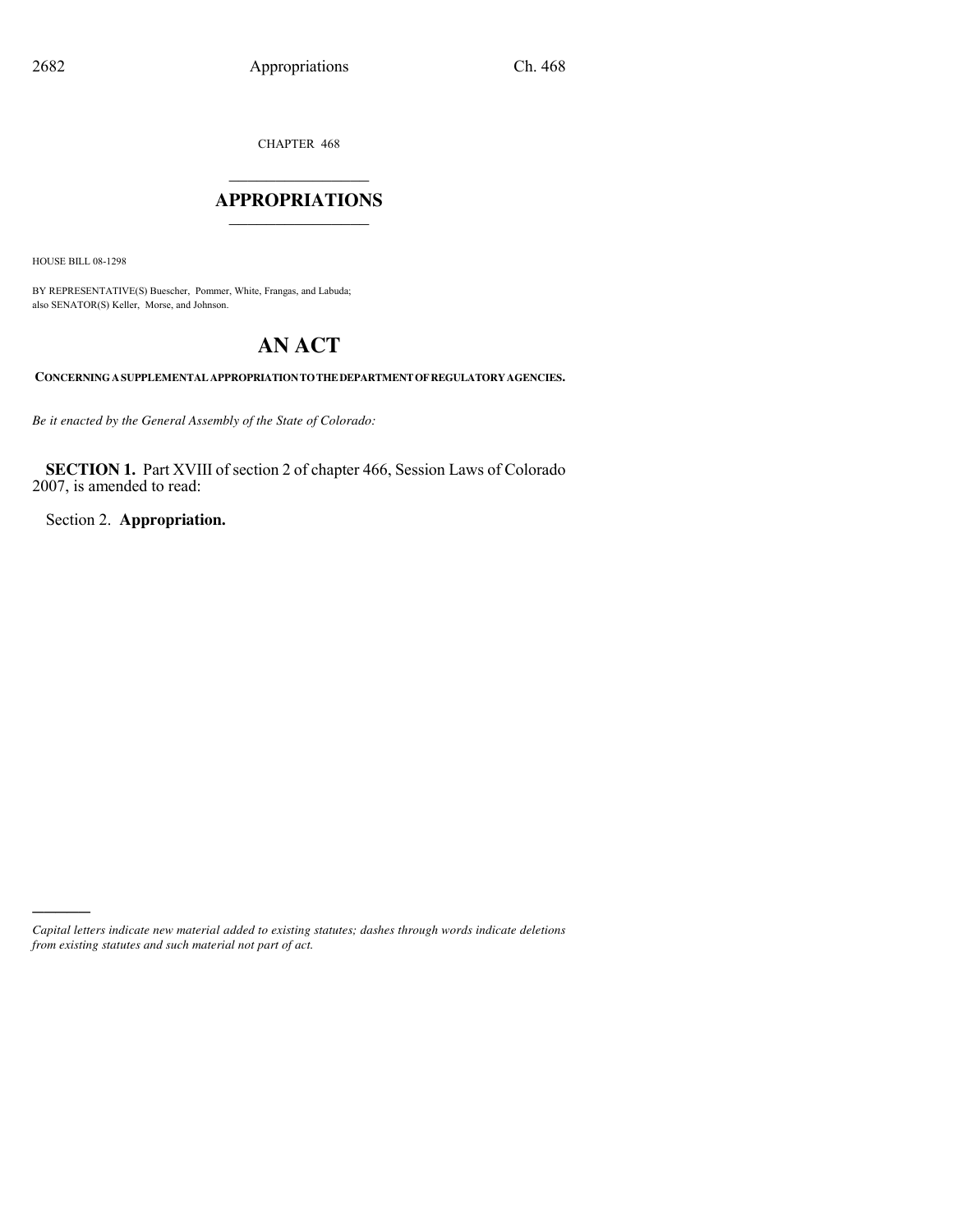CHAPTER 468

## $\mathcal{L}_\text{max}$  . The set of the set of the set of the set of the set of the set of the set of the set of the set of the set of the set of the set of the set of the set of the set of the set of the set of the set of the set **APPROPRIATIONS** \_\_\_\_\_\_\_\_\_\_\_\_\_\_\_

HOUSE BILL 08-1298

)))))

BY REPRESENTATIVE(S) Buescher, Pommer, White, Frangas, and Labuda; also SENATOR(S) Keller, Morse, and Johnson.

# **AN ACT**

**CONCERNING A SUPPLEMENTAL APPROPRIATION TO THE DEPARTMENT OF REGULATORY AGENCIES.**

*Be it enacted by the General Assembly of the State of Colorado:*

**SECTION 1.** Part XVIII of section 2 of chapter 466, Session Laws of Colorado 2007, is amended to read:

Section 2. **Appropriation.**

*Capital letters indicate new material added to existing statutes; dashes through words indicate deletions from existing statutes and such material not part of act.*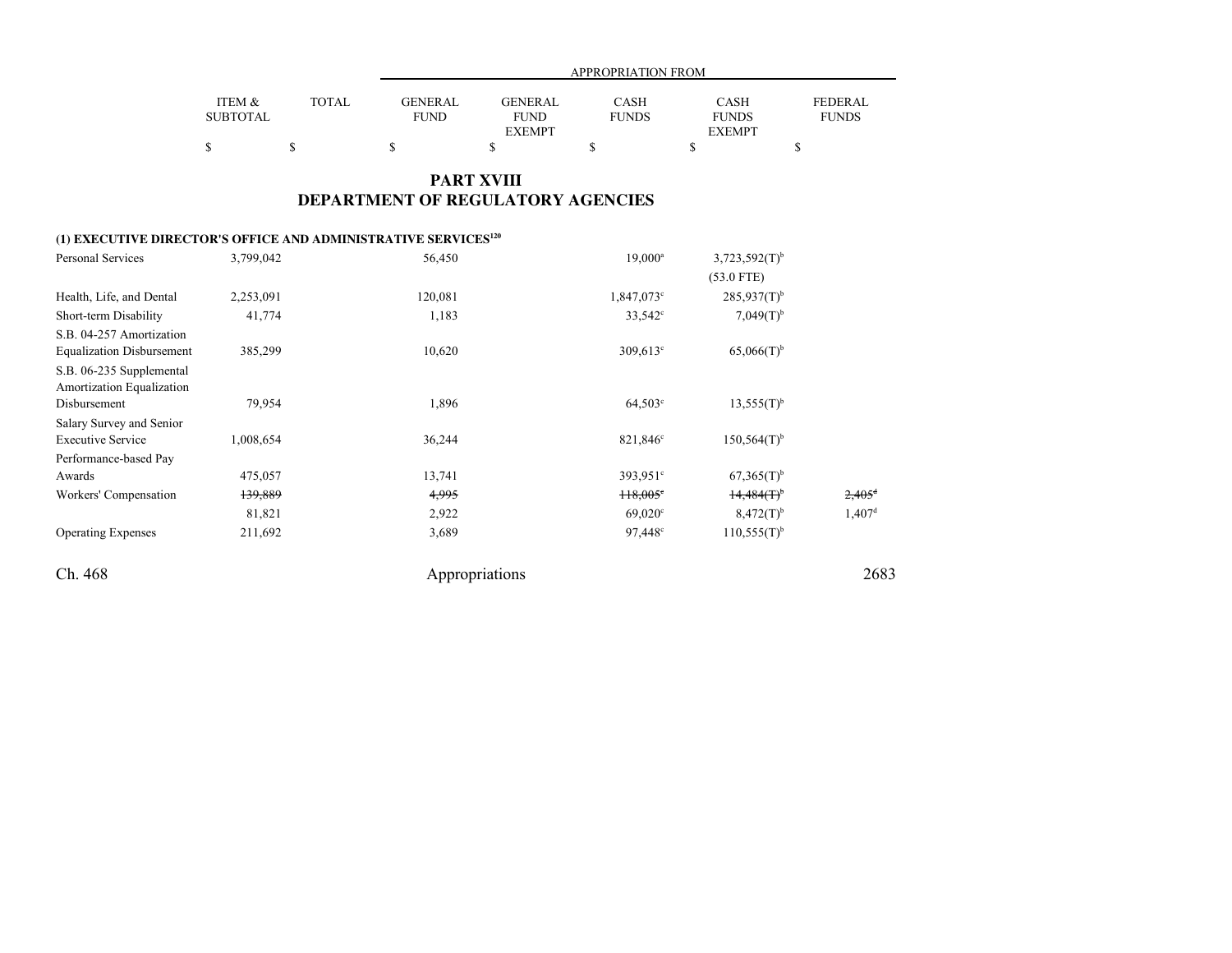### **PART XVIIIDEPARTMENT OF REGULATORY AGENCIES**

## **(1) EXECUTIVE DIRECTOR'S OFFICE AND ADMINISTRATIVE SERVICES<sup>120</sup>**

| Personal Services                                     | 3,799,042 | 56,450  | $19,000^a$             | $3,723,592(T)^{b}$             |                      |
|-------------------------------------------------------|-----------|---------|------------------------|--------------------------------|----------------------|
|                                                       |           |         |                        | $(53.0$ FTE)                   |                      |
| Health, Life, and Dental                              | 2,253,091 | 120,081 | $1,847,073$ °          | $285,937(T)$ <sup>b</sup>      |                      |
| Short-term Disability                                 | 41,774    | 1,183   | 33,542 <sup>c</sup>    | $7,049(T)$ <sup>b</sup>        |                      |
| S.B. 04-257 Amortization                              |           |         |                        |                                |                      |
| <b>Equalization Disbursement</b>                      | 385,299   | 10,620  | $309.613^{\circ}$      | $65,066(T)$ <sup>b</sup>       |                      |
| S.B. 06-235 Supplemental<br>Amortization Equalization |           |         |                        |                                |                      |
| Disbursement                                          | 79,954    | 1,896   | $64.503^{\circ}$       | $13,555(T)^{b}$                |                      |
| Salary Survey and Senior                              |           |         |                        |                                |                      |
| <b>Executive Service</b>                              | 1,008,654 | 36,244  | $821,846^{\circ}$      | $150,564(T)$ <sup>b</sup>      |                      |
| Performance-based Pay                                 |           |         |                        |                                |                      |
| Awards                                                | 475,057   | 13,741  | $393.951^{\circ}$      | $67,365(T)$ <sup>b</sup>       |                      |
| Workers' Compensation                                 | 139,889   | 4,995   | $+18,005$ <sup>e</sup> | $14,484$ $\text{F}^{\text{b}}$ | $2,405$ <sup>d</sup> |
|                                                       | 81,821    | 2,922   | $69,020^{\circ}$       | $8,472(T)^{b}$                 | 1,407 <sup>d</sup>   |
| <b>Operating Expenses</b>                             | 211,692   | 3,689   | $97,448^{\circ}$       | $110,555(T)^{b}$               |                      |
|                                                       |           |         |                        |                                |                      |

Ch. 468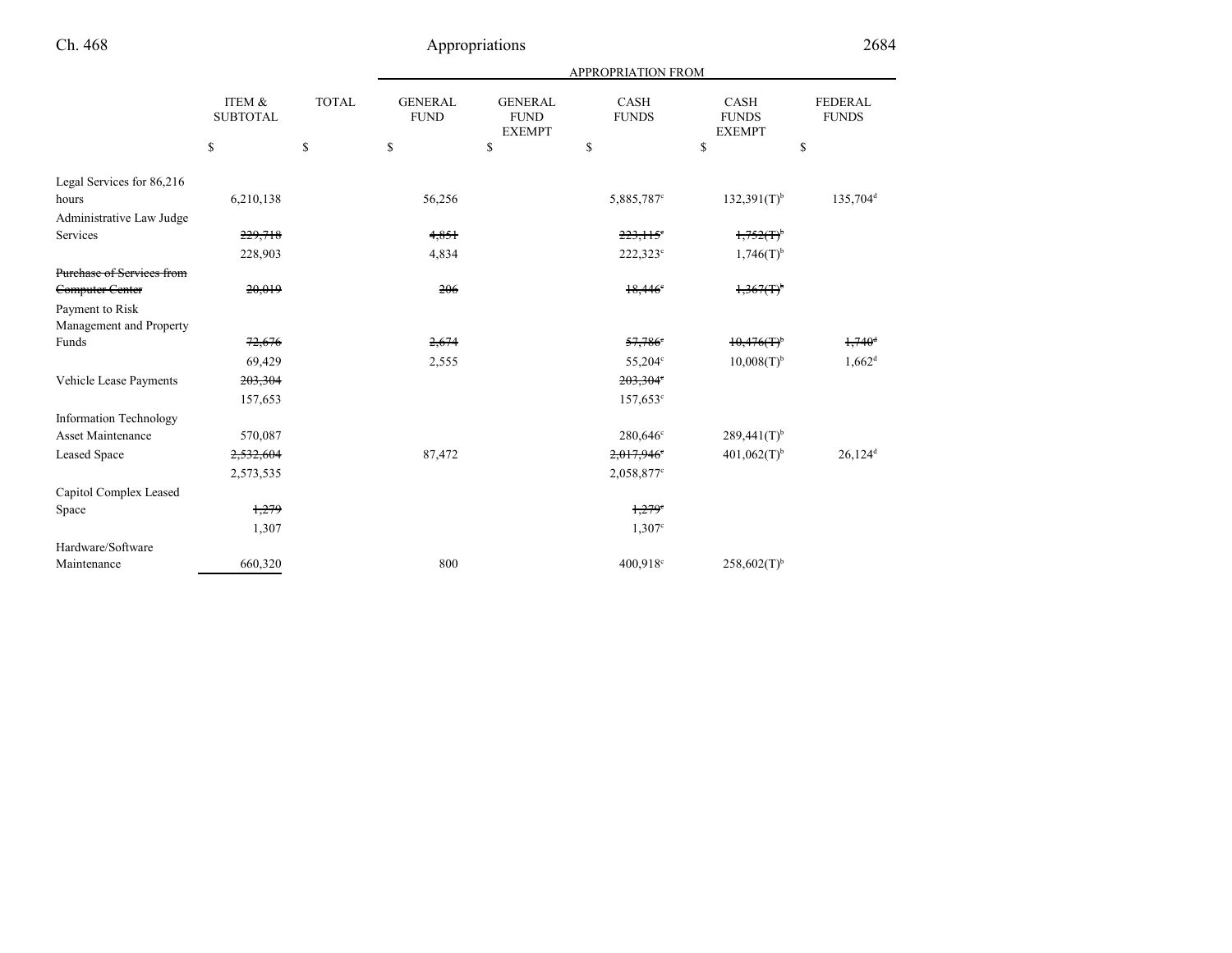|                               |                           |              |                               |                                                | <b>APPROPRIATION FROM</b>   |                                              |                                |
|-------------------------------|---------------------------|--------------|-------------------------------|------------------------------------------------|-----------------------------|----------------------------------------------|--------------------------------|
|                               | ITEM &<br><b>SUBTOTAL</b> | <b>TOTAL</b> | <b>GENERAL</b><br><b>FUND</b> | <b>GENERAL</b><br><b>FUND</b><br><b>EXEMPT</b> | <b>CASH</b><br><b>FUNDS</b> | <b>CASH</b><br><b>FUNDS</b><br><b>EXEMPT</b> | <b>FEDERAL</b><br><b>FUNDS</b> |
|                               | \$                        | \$           | \$                            | \$                                             | \$                          | \$                                           | \$                             |
| Legal Services for 86,216     |                           |              |                               |                                                |                             |                                              |                                |
| hours                         | 6,210,138                 |              | 56,256                        |                                                | 5,885,787 <sup>c</sup>      | $132,391(T)^{b}$                             | 135,704 <sup>d</sup>           |
| Administrative Law Judge      |                           |              |                               |                                                |                             |                                              |                                |
| Services                      | 229,718                   |              | 4,851                         |                                                | $223,115$ °                 | $1,752(f)^6$                                 |                                |
|                               | 228,903                   |              | 4,834                         |                                                | 222,323°                    | $1,746(T)$ <sup>b</sup>                      |                                |
| Purchase of Services from     |                           |              |                               |                                                |                             |                                              |                                |
| Computer Center               | 20,019                    |              | 206                           |                                                | $18,446$ <sup>c</sup>       | 1,367(T)                                     |                                |
| Payment to Risk               |                           |              |                               |                                                |                             |                                              |                                |
| Management and Property       |                           |              |                               |                                                |                             |                                              |                                |
| Funds                         | 72,676                    |              | 2,674                         |                                                | $57,786$ <sup>c</sup>       | 10,476(f)                                    | $1,740$ <sup>d</sup>           |
|                               | 69,429                    |              | 2,555                         |                                                | 55,204 <sup>c</sup>         | $10,008(T)$ <sup>b</sup>                     | $1,662$ <sup>d</sup>           |
| Vehicle Lease Payments        | 203,304                   |              |                               |                                                | 203,304 <sup>e</sup>        |                                              |                                |
|                               | 157,653                   |              |                               |                                                | 157,653 <sup>c</sup>        |                                              |                                |
| <b>Information Technology</b> |                           |              |                               |                                                |                             |                                              |                                |
| <b>Asset Maintenance</b>      | 570,087                   |              |                               |                                                | 280,646 <sup>c</sup>        | $289,441(T)$ <sup>b</sup>                    |                                |
| <b>Leased Space</b>           | 2,532,604                 |              | 87,472                        |                                                | $2,017,946$ <sup>e</sup>    | $401,062(T)$ <sup>b</sup>                    | $26,124$ <sup>d</sup>          |
|                               | 2,573,535                 |              |                               |                                                | 2,058,877°                  |                                              |                                |
| Capitol Complex Leased        |                           |              |                               |                                                |                             |                                              |                                |
| Space                         | 1,279                     |              |                               |                                                | $1,279$ <sup>c</sup>        |                                              |                                |
|                               | 1,307                     |              |                               |                                                | $1,307^{\circ}$             |                                              |                                |
| Hardware/Software             |                           |              |                               |                                                |                             |                                              |                                |
| Maintenance                   | 660,320                   |              | 800                           |                                                | 400,918 <sup>c</sup>        | $258,602(T)$ <sup>b</sup>                    |                                |
|                               |                           |              |                               |                                                |                             |                                              |                                |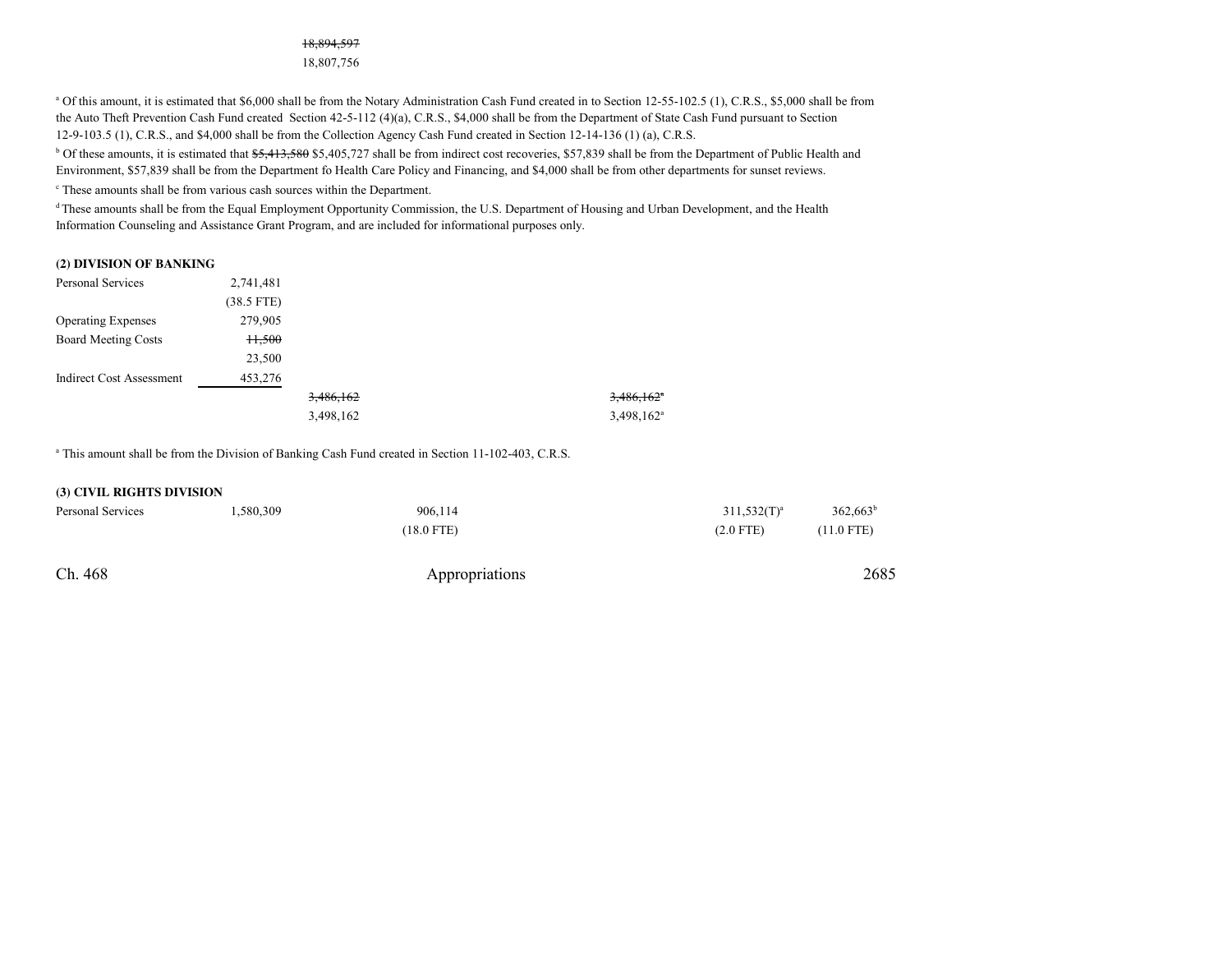#### 18,894,597

18,807,756

<sup>a</sup> Of this amount, it is estimated that \$6,000 shall be from the Notary Administration Cash Fund created in to Section 12-55-102.5 (1), C.R.S., \$5,000 shall be from the Auto Theft Prevention Cash Fund created Section 42-5-112 (4)(a), C.R.S., \$4,000 shall be from the Department of State Cash Fund pursuant to Section12-9-103.5 (1), C.R.S., and \$4,000 shall be from the Collection Agency Cash Fund created in Section 12-14-136 (1) (a), C.R.S.

<sup>b</sup> Of these amounts, it is estimated that \$5,413,580 \$5,405,727 shall be from indirect cost recoveries, \$57,839 shall be from the Department of Public Health and Environment, \$57,839 shall be from the Department fo Health Care Policy and Financing, and \$4,000 shall be from other departments for sunset reviews.

c These amounts shall be from various cash sources within the Department.

<sup>d</sup>These amounts shall be from the Equal Employment Opportunity Commission, the U.S. Department of Housing and Urban Development, and the Health Information Counseling and Assistance Grant Program, and are included for informational purposes only.

### **(2) DIVISION OF BANKING**

| Personal Services          | 2,741,481    |           |                          |
|----------------------------|--------------|-----------|--------------------------|
|                            | $(38.5$ FTE) |           |                          |
| <b>Operating Expenses</b>  | 279,905      |           |                          |
| <b>Board Meeting Costs</b> | H,500        |           |                          |
|                            | 23,500       |           |                          |
| Indirect Cost Assessment   | 453,276      |           |                          |
|                            |              | 3,486,162 | $3,486,162$ <sup>a</sup> |
|                            |              | 3,498,162 | 3,498,162 <sup>a</sup>   |

<sup>a</sup> This amount shall be from the Division of Banking Cash Fund created in Section 11-102-403, C.R.S.

### **(3) CIVIL RIGHTS DIVISION**

| Personal Services | .580,309 | 906,114        | $311,532(T)^a$ | $362,663^b$  |
|-------------------|----------|----------------|----------------|--------------|
|                   |          | (18.0 FTE)     | $(2.0$ FTE)    | $(11.0$ FTE) |
|                   |          |                |                |              |
| Ch. 468           |          | Appropriations |                | 2685         |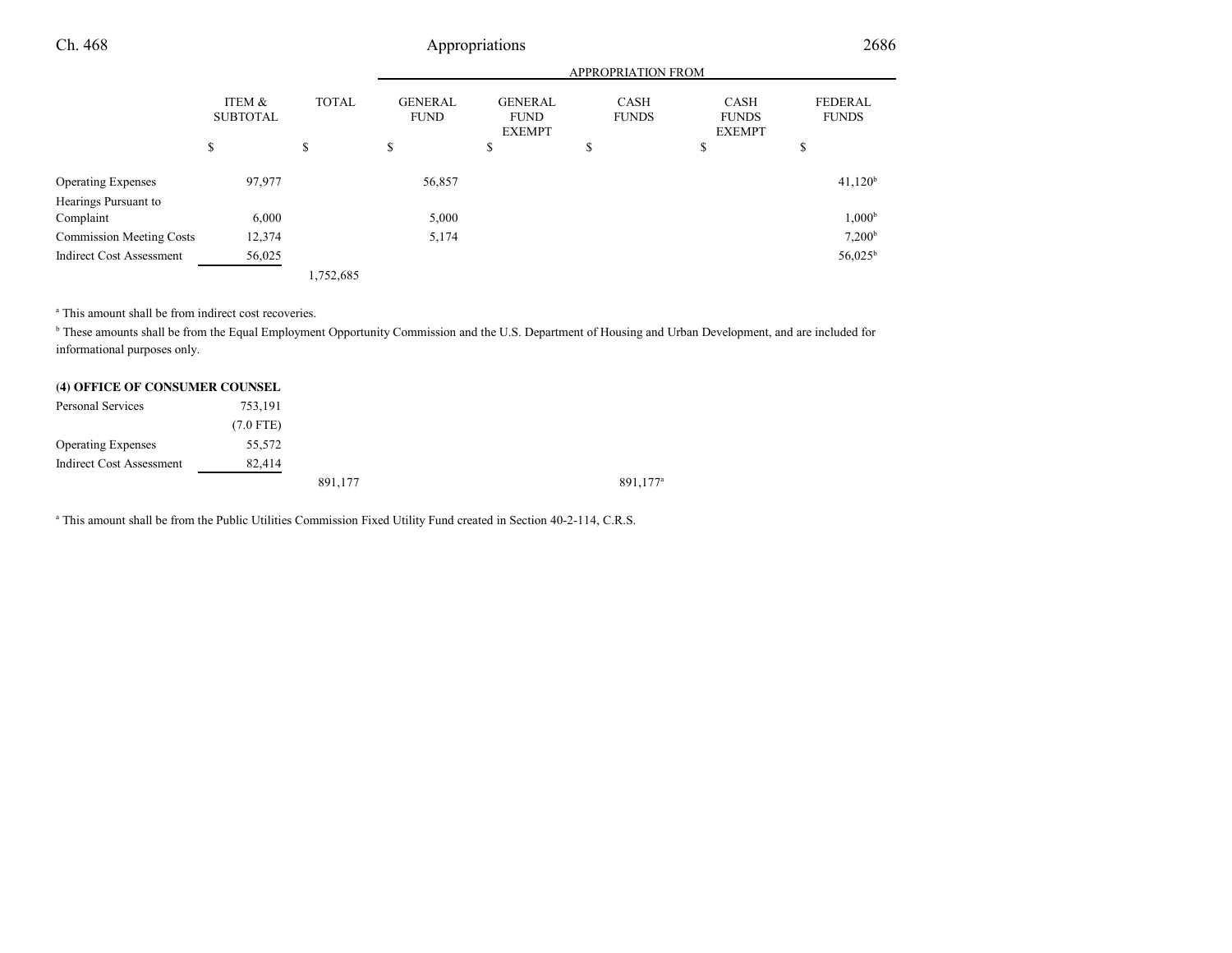## Ch. 468

## Appropriations <sup>2686</sup>

|                                   |                           |              |                               |                                                | <b>APPROPRIATION FROM</b>   |                                              |                                |
|-----------------------------------|---------------------------|--------------|-------------------------------|------------------------------------------------|-----------------------------|----------------------------------------------|--------------------------------|
|                                   | ITEM &<br><b>SUBTOTAL</b> | <b>TOTAL</b> | <b>GENERAL</b><br><b>FUND</b> | <b>GENERAL</b><br><b>FUND</b><br><b>EXEMPT</b> | <b>CASH</b><br><b>FUNDS</b> | <b>CASH</b><br><b>FUNDS</b><br><b>EXEMPT</b> | <b>FEDERAL</b><br><b>FUNDS</b> |
|                                   | S                         | \$           | \$                            | \$                                             | \$                          | \$                                           | \$                             |
| <b>Operating Expenses</b>         | 97,977                    |              | 56,857                        |                                                |                             |                                              | 41,120 <sup>b</sup>            |
| Hearings Pursuant to<br>Complaint | 6,000                     |              | 5,000                         |                                                |                             |                                              | 1,000 <sup>b</sup>             |
| <b>Commission Meeting Costs</b>   | 12,374                    |              | 5,174                         |                                                |                             |                                              | $7,200^{\rm b}$                |
| <b>Indirect Cost Assessment</b>   | 56,025                    |              |                               |                                                |                             |                                              | 56,025 <sup>b</sup>            |
|                                   |                           | 1,752,685    |                               |                                                |                             |                                              |                                |

<sup>a</sup> This amount shall be from indirect cost recoveries.

<sup>b</sup> These amounts shall be from the Equal Employment Opportunity Commission and the U.S. Department of Housing and Urban Development, and are included for informational purposes only.

| (4) OFFICE OF CONSUMER COUNSEL |         |
|--------------------------------|---------|
| Personal Services              | 753.191 |

| Personal Services         | 753.191     |         |                      |
|---------------------------|-------------|---------|----------------------|
|                           | $(7.0$ FTE) |         |                      |
| <b>Operating Expenses</b> | 55,572      |         |                      |
| Indirect Cost Assessment  | 82.414      |         |                      |
|                           |             | 891,177 | 891.177 <sup>a</sup> |

<sup>a</sup> This amount shall be from the Public Utilities Commission Fixed Utility Fund created in Section 40-2-114, C.R.S.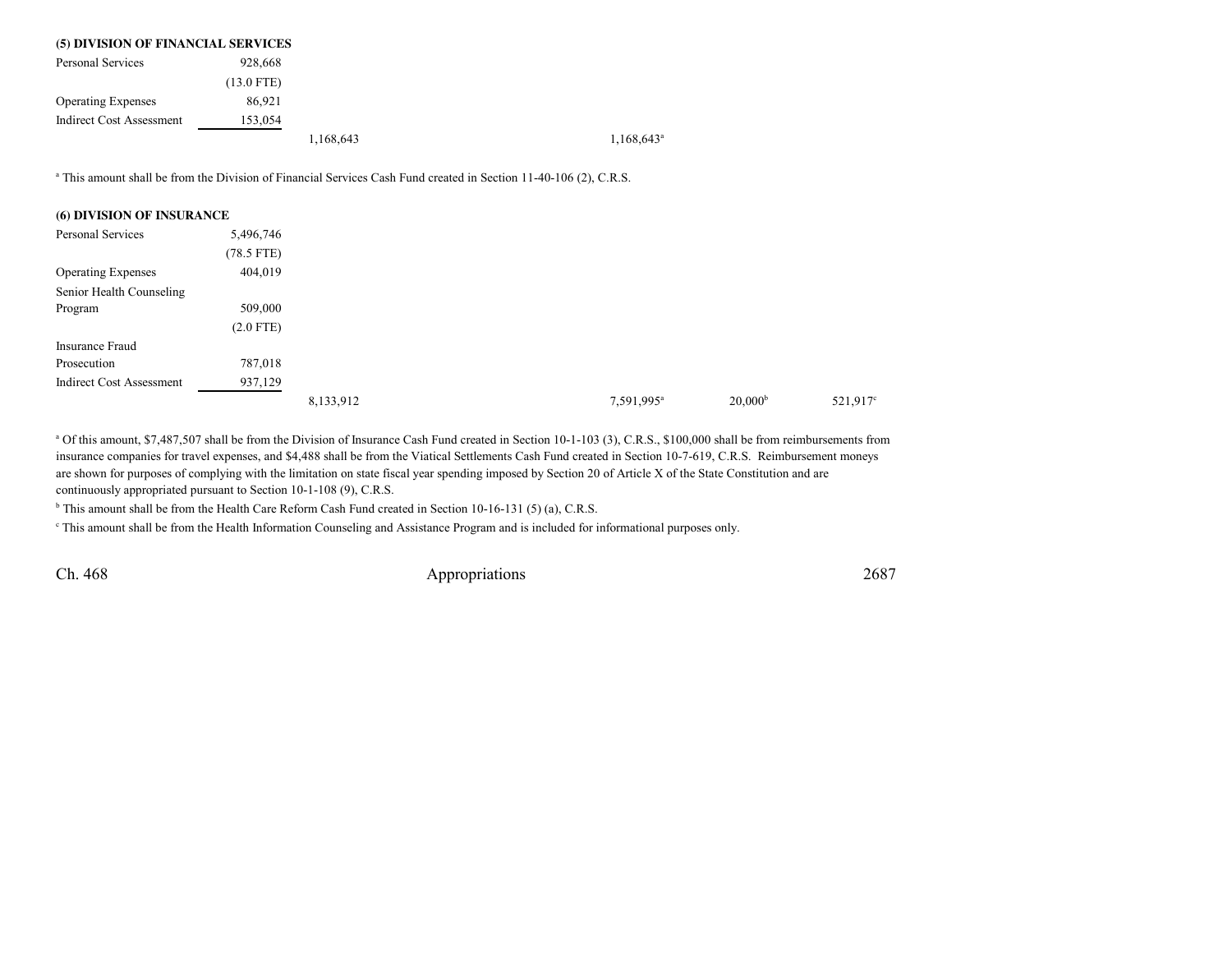| (5) DIVISION OF FINANCIAL SERVICES |              |           |                     |
|------------------------------------|--------------|-----------|---------------------|
| Personal Services                  | 928,668      |           |                     |
|                                    | $(13.0$ FTE) |           |                     |
| <b>Operating Expenses</b>          | 86.921       |           |                     |
| Indirect Cost Assessment           | 153,054      |           |                     |
|                                    |              | 1,168,643 | $1,168,643^{\circ}$ |

<sup>a</sup> This amount shall be from the Division of Financial Services Cash Fund created in Section 11-40-106 (2), C.R.S.

### **(6) DIVISION OF INSURANCE**

| Personal Services<br>5,496,746<br>$(78.5$ FTE)<br>404,019<br>Senior Health Counseling<br>509,000<br>Program<br>$(2.0$ FTE)<br>Insurance Fraud<br>787,018<br>Prosecution |                                             |
|-------------------------------------------------------------------------------------------------------------------------------------------------------------------------|---------------------------------------------|
| <b>Operating Expenses</b>                                                                                                                                               |                                             |
|                                                                                                                                                                         |                                             |
|                                                                                                                                                                         |                                             |
|                                                                                                                                                                         |                                             |
|                                                                                                                                                                         |                                             |
|                                                                                                                                                                         |                                             |
|                                                                                                                                                                         |                                             |
|                                                                                                                                                                         |                                             |
| <b>Indirect Cost Assessment</b><br>937,129                                                                                                                              |                                             |
| 7,591,995 <sup>a</sup><br>8,133,912                                                                                                                                     | 20,000 <sup>b</sup><br>521,917 <sup>c</sup> |

<sup>a</sup> Of this amount, \$7,487,507 shall be from the Division of Insurance Cash Fund created in Section 10-1-103 (3), C.R.S., \$100,000 shall be from reimbursements from insurance companies for travel expenses, and \$4,488 shall be from the Viatical Settlements Cash Fund created in Section 10-7-619, C.R.S. Reimbursement moneysare shown for purposes of complying with the limitation on state fiscal year spending imposed by Section 20 of Article X of the State Constitution and arecontinuously appropriated pursuant to Section 10-1-108 (9), C.R.S.

<sup>b</sup> This amount shall be from the Health Care Reform Cash Fund created in Section 10-16-131 (5) (a), C.R.S.

c This amount shall be from the Health Information Counseling and Assistance Program and is included for informational purposes only.

Ch. 468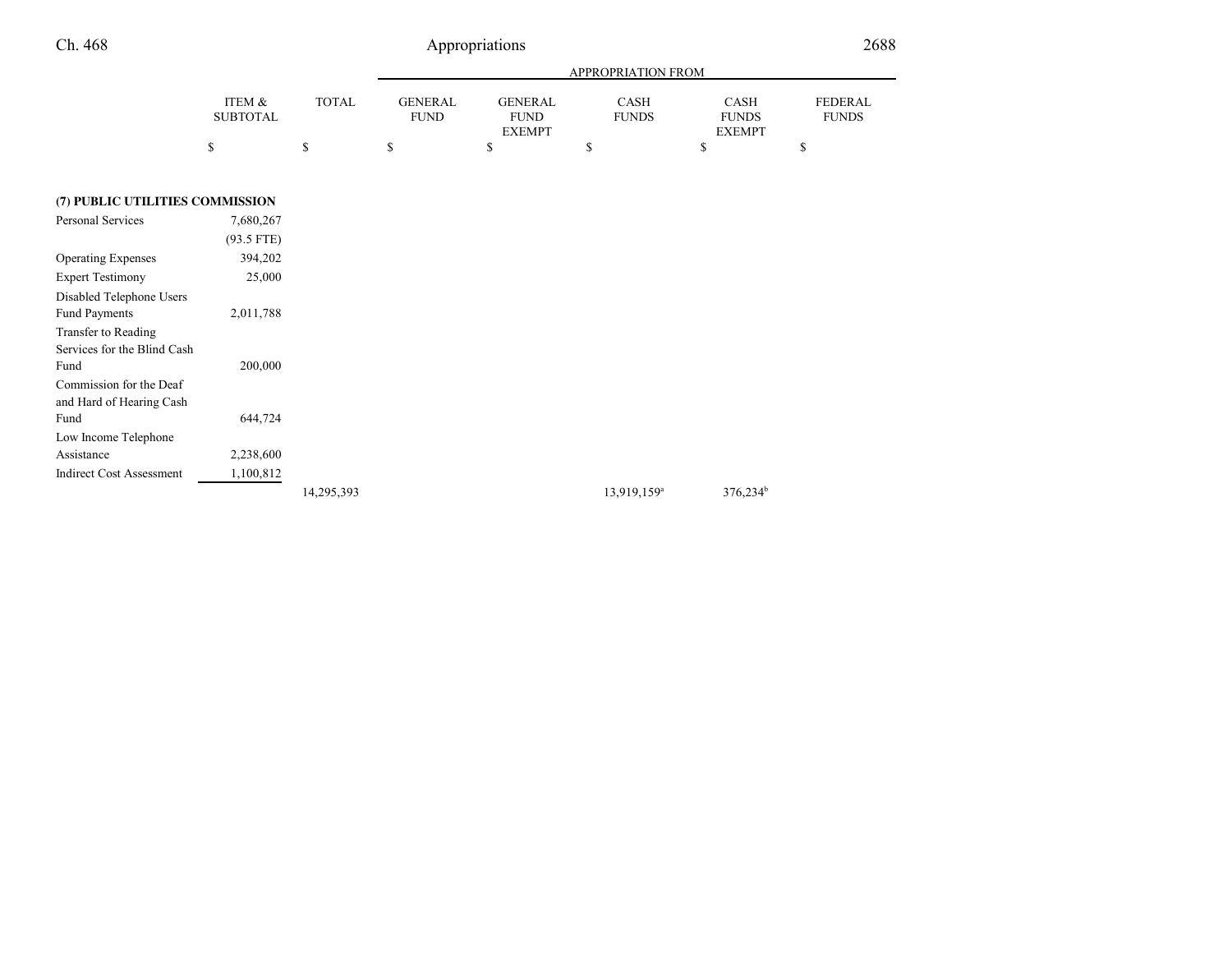## Ch. 468

# Appropriations <sup>2688</sup>

|                           |              |                               |                                         | <b>APPROPRIATION FROM</b>   |                                              |                         |
|---------------------------|--------------|-------------------------------|-----------------------------------------|-----------------------------|----------------------------------------------|-------------------------|
| ITEM &<br><b>SUBTOTAL</b> | <b>TOTAL</b> | <b>GENERAL</b><br><b>FUND</b> | GENERAL<br><b>FUND</b><br><b>EXEMPT</b> | <b>CASH</b><br><b>FUNDS</b> | <b>CASH</b><br><b>FUNDS</b><br><b>EXEMPT</b> | FEDERAL<br><b>FUNDS</b> |
|                           |              |                               |                                         |                             |                                              | ٨D                      |

## **(7) PUBLIC UTILITIES COMMISSION**

| Personal Services               | 7,680,267    |            |  |                         |                      |
|---------------------------------|--------------|------------|--|-------------------------|----------------------|
|                                 | $(93.5$ FTE) |            |  |                         |                      |
| <b>Operating Expenses</b>       | 394,202      |            |  |                         |                      |
| <b>Expert Testimony</b>         | 25,000       |            |  |                         |                      |
| Disabled Telephone Users        |              |            |  |                         |                      |
| <b>Fund Payments</b>            | 2,011,788    |            |  |                         |                      |
| Transfer to Reading             |              |            |  |                         |                      |
| Services for the Blind Cash     |              |            |  |                         |                      |
| Fund                            | 200,000      |            |  |                         |                      |
| Commission for the Deaf         |              |            |  |                         |                      |
| and Hard of Hearing Cash        |              |            |  |                         |                      |
| Fund                            | 644,724      |            |  |                         |                      |
| Low Income Telephone            |              |            |  |                         |                      |
| Assistance                      | 2,238,600    |            |  |                         |                      |
| <b>Indirect Cost Assessment</b> | 1,100,812    |            |  |                         |                      |
|                                 |              | 14,295,393 |  | 13,919,159 <sup>a</sup> | 376,234 <sup>b</sup> |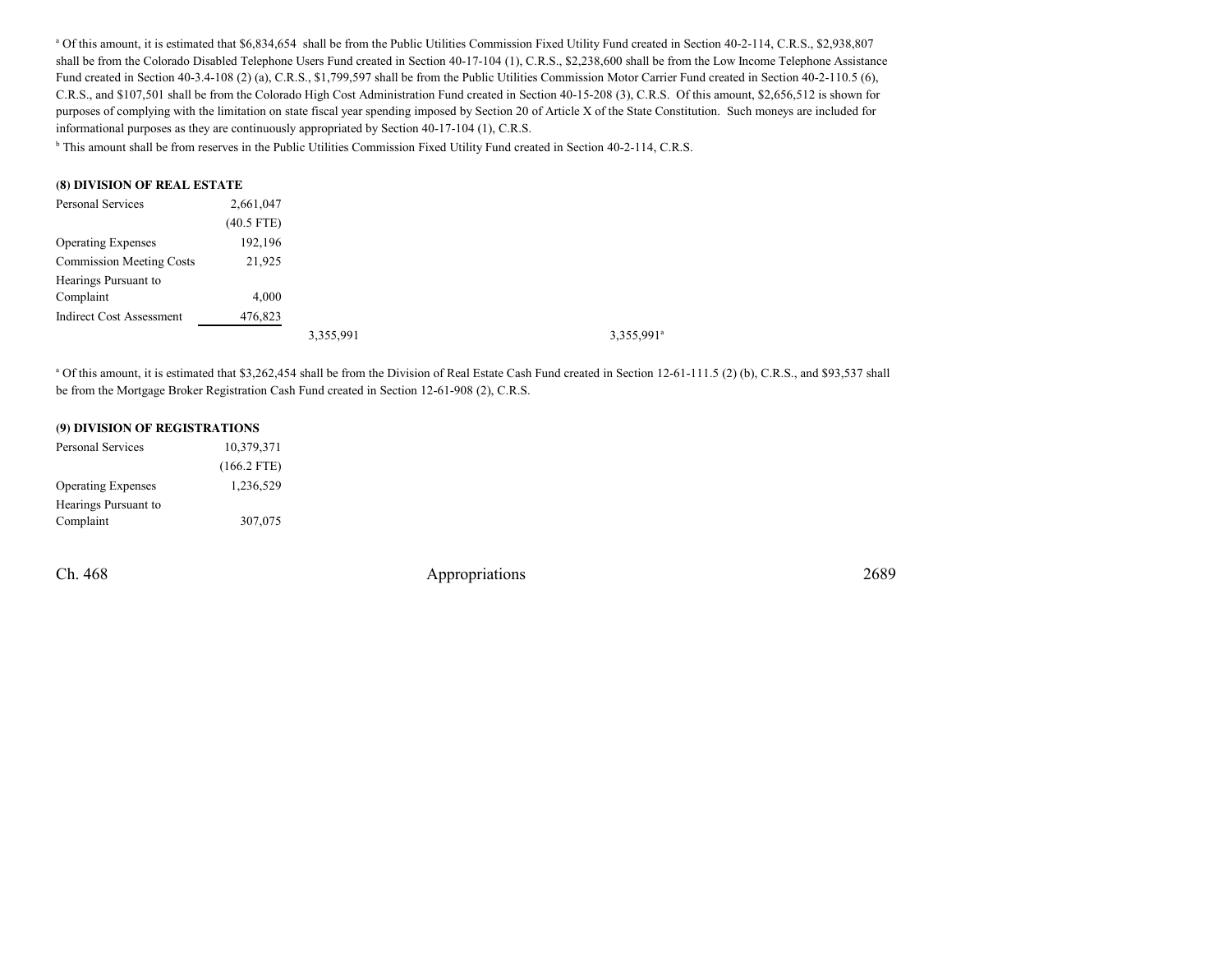<sup>a</sup> Of this amount, it is estimated that \$6,834,654 shall be from the Public Utilities Commission Fixed Utility Fund created in Section 40-2-114, C.R.S., \$2,938,807 shall be from the Colorado Disabled Telephone Users Fund created in Section 40-17-104 (1), C.R.S., \$2,238,600 shall be from the Low Income Telephone AssistanceFund created in Section 40-3.4-108 (2) (a), C.R.S., \$1,799,597 shall be from the Public Utilities Commission Motor Carrier Fund created in Section 40-2-110.5 (6), C.R.S., and \$107,501 shall be from the Colorado High Cost Administration Fund created in Section 40-15-208 (3), C.R.S. Of this amount, \$2,656,512 is shown for purposes of complying with the limitation on state fiscal year spending imposed by Section 20 of Article X of the State Constitution. Such moneys are included forinformational purposes as they are continuously appropriated by Section 40-17-104 (1), C.R.S.

<sup>b</sup> This amount shall be from reserves in the Public Utilities Commission Fixed Utility Fund created in Section 40-2-114, C.R.S.

### **(8) DIVISION OF REAL ESTATE**

| Personal Services               | 2,661,047    |           |                        |
|---------------------------------|--------------|-----------|------------------------|
|                                 | $(40.5$ FTE) |           |                        |
| <b>Operating Expenses</b>       | 192,196      |           |                        |
| <b>Commission Meeting Costs</b> | 21,925       |           |                        |
| Hearings Pursuant to            |              |           |                        |
| Complaint                       | 4.000        |           |                        |
| <b>Indirect Cost Assessment</b> | 476,823      |           |                        |
|                                 |              | 3,355,991 | 3,355,991 <sup>a</sup> |

<sup>a</sup> Of this amount, it is estimated that \$3,262,454 shall be from the Division of Real Estate Cash Fund created in Section 12-61-111.5 (2) (b), C.R.S., and \$93,537 shall be from the Mortgage Broker Registration Cash Fund created in Section 12-61-908 (2), C.R.S.

#### **(9) DIVISION OF REGISTRATIONS**

| <b>Personal Services</b>  | 10,379,371    |  |  |
|---------------------------|---------------|--|--|
|                           | $(166.2$ FTE) |  |  |
| <b>Operating Expenses</b> | 1,236,529     |  |  |
| Hearings Pursuant to      |               |  |  |
| Complaint                 | 307,075       |  |  |

Ch. 468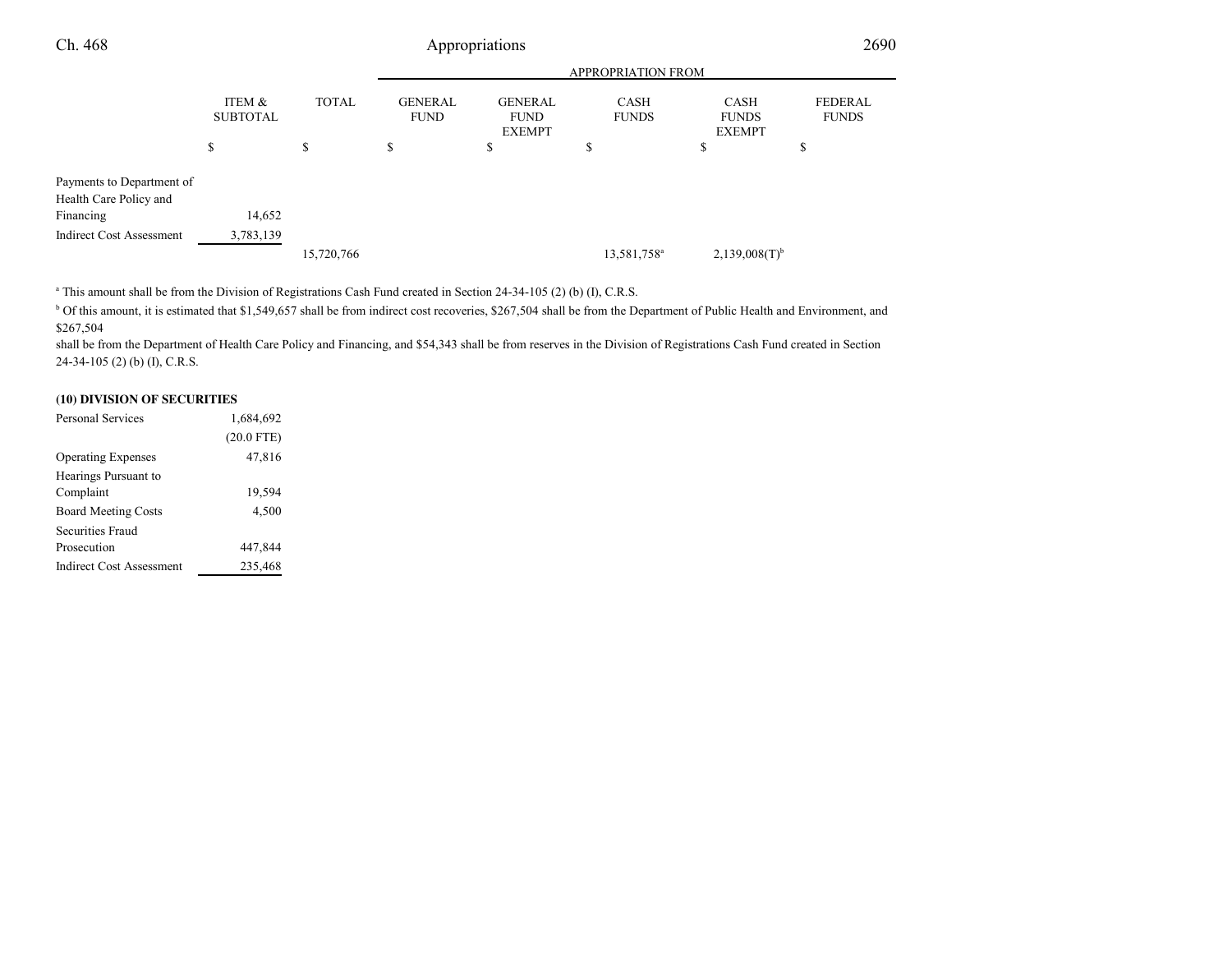| Ch. 468                                                          | Appropriations            |                           |                               |                                                | 2690                        |                                              |                                |
|------------------------------------------------------------------|---------------------------|---------------------------|-------------------------------|------------------------------------------------|-----------------------------|----------------------------------------------|--------------------------------|
|                                                                  |                           | <b>APPROPRIATION FROM</b> |                               |                                                |                             |                                              |                                |
|                                                                  | ITEM &<br><b>SUBTOTAL</b> | <b>TOTAL</b>              | <b>GENERAL</b><br><b>FUND</b> | <b>GENERAL</b><br><b>FUND</b><br><b>EXEMPT</b> | <b>CASH</b><br><b>FUNDS</b> | <b>CASH</b><br><b>FUNDS</b><br><b>EXEMPT</b> | <b>FEDERAL</b><br><b>FUNDS</b> |
|                                                                  | \$                        | \$                        | \$                            | \$                                             | \$                          | \$                                           | Ф                              |
| Payments to Department of<br>Health Care Policy and<br>Financing | 14,652                    |                           |                               |                                                |                             |                                              |                                |
| <b>Indirect Cost Assessment</b>                                  | 3,783,139                 | 15,720,766                |                               |                                                | 13,581,758 <sup>a</sup>     | $2,139,008(T)$ <sup>b</sup>                  |                                |

<sup>a</sup> This amount shall be from the Division of Registrations Cash Fund created in Section 24-34-105 (2) (b) (I), C.R.S.

<sup>b</sup> Of this amount, it is estimated that \$1,549,657 shall be from indirect cost recoveries, \$267,504 shall be from the Department of Public Health and Environment, and \$267,504

 shall be from the Department of Health Care Policy and Financing, and \$54,343 shall be from reserves in the Division of Registrations Cash Fund created in Section24-34-105 (2) (b) (I), C.R.S.

### **(10) DIVISION OF SECURITIES**

| 1,684,692    |  |
|--------------|--|
| $(20.0$ FTE) |  |
| 47,816       |  |
|              |  |
| 19,594       |  |
| 4,500        |  |
|              |  |
| 447,844      |  |
| 235,468      |  |
|              |  |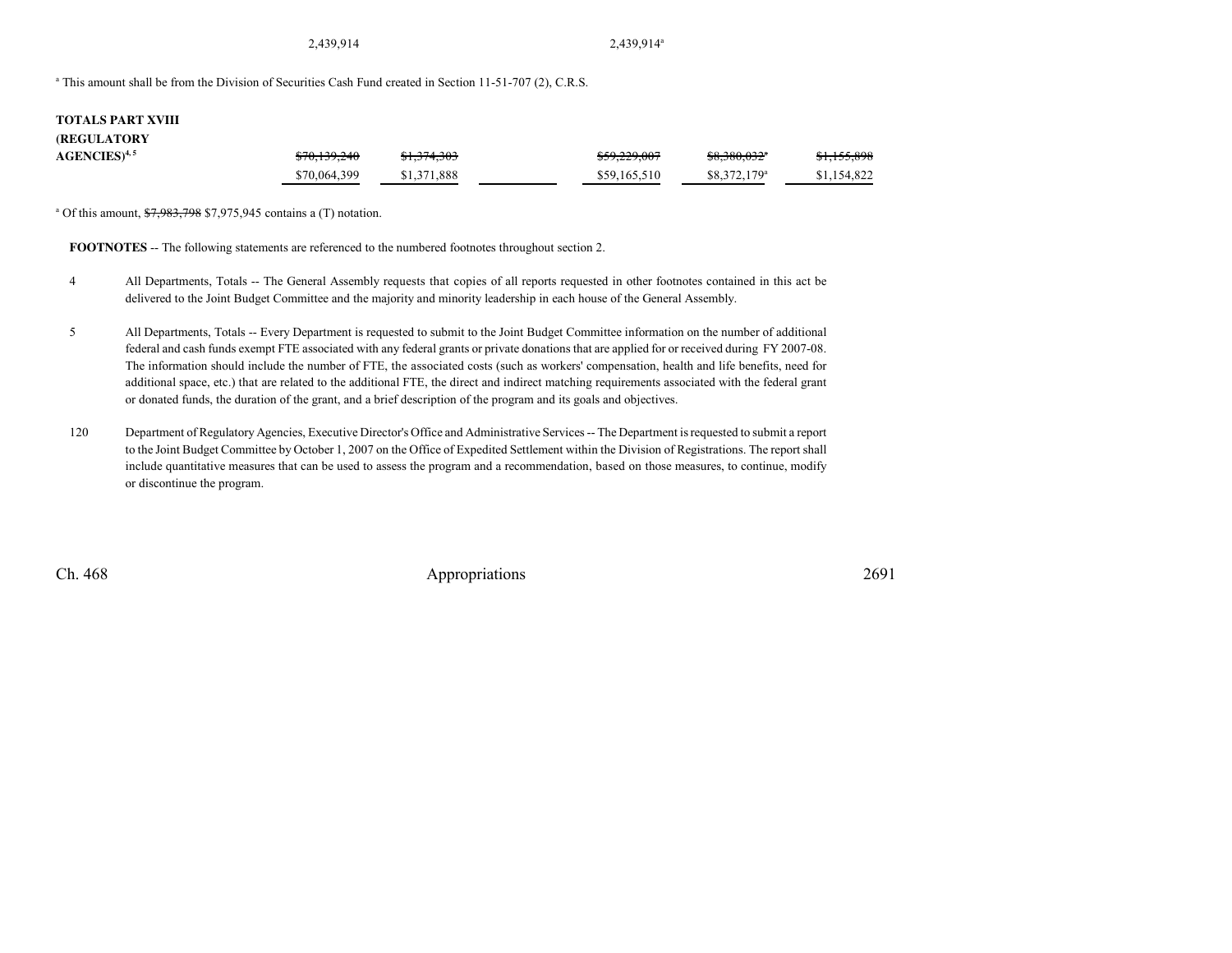2,439,914

2,439,914<sup>a</sup>

<sup>a</sup> This amount shall be from the Division of Securities Cash Fund created in Section 11-51-707 (2), C.R.S.

### **TOTALS PART XVIII(REGULATORY**

| $\mathrm{AGENCIES})^{4,5}$ | \$70,139,240 | <del>\$1,374,303</del> | \$59,229,007 | $$8.380.032$ <sup>a</sup> | \$1,155,898 |
|----------------------------|--------------|------------------------|--------------|---------------------------|-------------|
|                            | \$70,064,399 | \$1,371,888            | \$59,165,510 | $$8.372.179$ <sup>a</sup> | \$1,154,822 |

<sup>a</sup> Of this amount,  $\frac{$7,983,798}{$7,975,945}$  contains a (T) notation.

**FOOTNOTES** -- The following statements are referenced to the numbered footnotes throughout section 2.

- <sup>4</sup> All Departments, Totals -- The General Assembly requests that copies of all reports requested in other footnotes contained in this act be delivered to the Joint Budget Committee and the majority and minority leadership in each house of the General Assembly.
- <sup>5</sup> All Departments, Totals -- Every Department is requested to submit to the Joint Budget Committee information on the number of additional federal and cash funds exempt FTE associated with any federal grants or private donations that are applied for or received during FY 2007-08.The information should include the number of FTE, the associated costs (such as workers' compensation, health and life benefits, need for additional space, etc.) that are related to the additional FTE, the direct and indirect matching requirements associated with the federal grantor donated funds, the duration of the grant, and a brief description of the program and its goals and objectives.
- <sup>120</sup> Department of Regulatory Agencies, Executive Director's Office and Administrative Services -- The Department is requested to submit a report to the Joint Budget Committee by October 1, 2007 on the Office of Expedited Settlement within the Division of Registrations. The report shall include quantitative measures that can be used to assess the program and a recommendation, based on those measures, to continue, modifyor discontinue the program.

Ch. 468